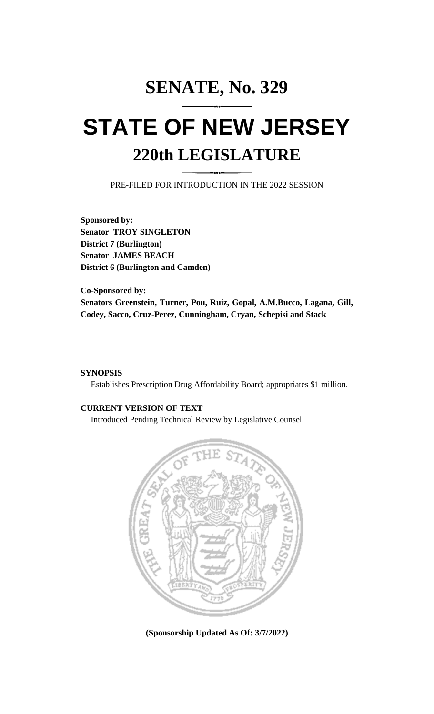# **SENATE, No. 329 STATE OF NEW JERSEY 220th LEGISLATURE**

PRE-FILED FOR INTRODUCTION IN THE 2022 SESSION

**Sponsored by: Senator TROY SINGLETON District 7 (Burlington) Senator JAMES BEACH District 6 (Burlington and Camden)**

**Co-Sponsored by: Senators Greenstein, Turner, Pou, Ruiz, Gopal, A.M.Bucco, Lagana, Gill, Codey, Sacco, Cruz-Perez, Cunningham, Cryan, Schepisi and Stack**

# **SYNOPSIS**

Establishes Prescription Drug Affordability Board; appropriates \$1 million.

# **CURRENT VERSION OF TEXT**

Introduced Pending Technical Review by Legislative Counsel.



**(Sponsorship Updated As Of: 3/7/2022)**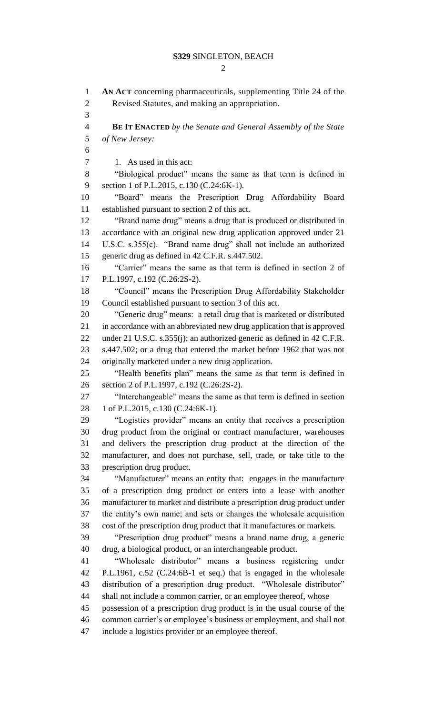$\mathcal{D}_{\mathcal{L}}$ 

 **AN ACT** concerning pharmaceuticals, supplementing Title 24 of the Revised Statutes, and making an appropriation. **BE IT ENACTED** *by the Senate and General Assembly of the State of New Jersey:* 7 1. As used in this act: "Biological product" means the same as that term is defined in section 1 of P.L.2015, c.130 (C.24:6K-1). "Board" means the Prescription Drug Affordability Board established pursuant to section 2 of this act. "Brand name drug" means a drug that is produced or distributed in accordance with an original new drug application approved under 21 U.S.C. s.355(c). "Brand name drug" shall not include an authorized generic drug as defined in 42 C.F.R. s.447.502. "Carrier" means the same as that term is defined in section 2 of P.L.1997, c.192 (C.26:2S-2). "Council" means the Prescription Drug Affordability Stakeholder Council established pursuant to section 3 of this act. "Generic drug" means: a retail drug that is marketed or distributed in accordance with an abbreviated new drug application that is approved under 21 U.S.C. s.355(j); an authorized generic as defined in 42 C.F.R. s.447.502; or a drug that entered the market before 1962 that was not originally marketed under a new drug application. "Health benefits plan" means the same as that term is defined in section 2 of P.L.1997, c.192 (C.26:2S-2). "Interchangeable" means the same as that term is defined in section 28 1 of P.L.2015, c.130 (C.24:6K-1). "Logistics provider" means an entity that receives a prescription drug product from the original or contract manufacturer, warehouses and delivers the prescription drug product at the direction of the manufacturer, and does not purchase, sell, trade, or take title to the prescription drug product. "Manufacturer" means an entity that: engages in the manufacture of a prescription drug product or enters into a lease with another manufacturer to market and distribute a prescription drug product under the entity's own name; and sets or changes the wholesale acquisition cost of the prescription drug product that it manufactures or markets. "Prescription drug product" means a brand name drug, a generic drug, a biological product, or an interchangeable product. "Wholesale distributor" means a business registering under P.L.1961, c.52 (C.24:6B-1 et seq.) that is engaged in the wholesale distribution of a prescription drug product. "Wholesale distributor" shall not include a common carrier, or an employee thereof, whose possession of a prescription drug product is in the usual course of the common carrier's or employee's business or employment, and shall not include a logistics provider or an employee thereof.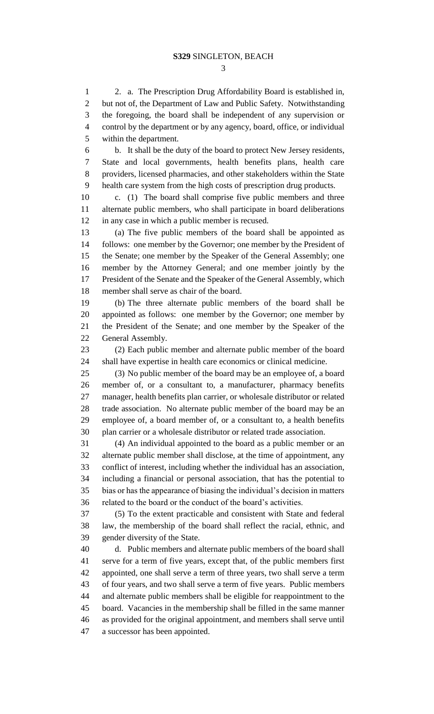2. a. The Prescription Drug Affordability Board is established in, but not of, the Department of Law and Public Safety. Notwithstanding the foregoing, the board shall be independent of any supervision or control by the department or by any agency, board, office, or individual within the department.

 b. It shall be the duty of the board to protect New Jersey residents, State and local governments, health benefits plans, health care providers, licensed pharmacies, and other stakeholders within the State health care system from the high costs of prescription drug products.

 c. (1) The board shall comprise five public members and three alternate public members, who shall participate in board deliberations in any case in which a public member is recused.

 (a) The five public members of the board shall be appointed as follows: one member by the Governor; one member by the President of the Senate; one member by the Speaker of the General Assembly; one member by the Attorney General; and one member jointly by the President of the Senate and the Speaker of the General Assembly, which member shall serve as chair of the board.

 (b) The three alternate public members of the board shall be appointed as follows: one member by the Governor; one member by the President of the Senate; and one member by the Speaker of the General Assembly.

 (2) Each public member and alternate public member of the board shall have expertise in health care economics or clinical medicine.

 (3) No public member of the board may be an employee of, a board member of, or a consultant to, a manufacturer, pharmacy benefits manager, health benefits plan carrier, or wholesale distributor or related trade association. No alternate public member of the board may be an employee of, a board member of, or a consultant to, a health benefits plan carrier or a wholesale distributor or related trade association.

 (4) An individual appointed to the board as a public member or an alternate public member shall disclose, at the time of appointment, any conflict of interest, including whether the individual has an association, including a financial or personal association, that has the potential to bias or has the appearance of biasing the individual's decision in matters related to the board or the conduct of the board's activities.

 (5) To the extent practicable and consistent with State and federal law, the membership of the board shall reflect the racial, ethnic, and gender diversity of the State.

 d. Public members and alternate public members of the board shall serve for a term of five years, except that, of the public members first appointed, one shall serve a term of three years, two shall serve a term of four years, and two shall serve a term of five years. Public members and alternate public members shall be eligible for reappointment to the board. Vacancies in the membership shall be filled in the same manner as provided for the original appointment, and members shall serve until a successor has been appointed.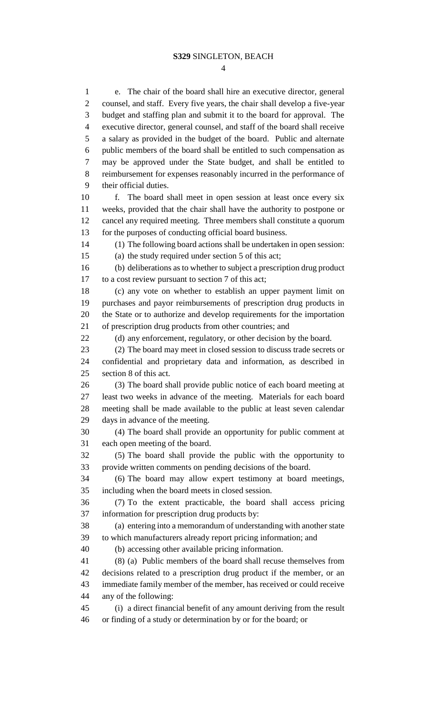$\Delta$ 

 e. The chair of the board shall hire an executive director, general counsel, and staff. Every five years, the chair shall develop a five-year budget and staffing plan and submit it to the board for approval. The executive director, general counsel, and staff of the board shall receive a salary as provided in the budget of the board. Public and alternate public members of the board shall be entitled to such compensation as may be approved under the State budget, and shall be entitled to reimbursement for expenses reasonably incurred in the performance of their official duties. f. The board shall meet in open session at least once every six weeks, provided that the chair shall have the authority to postpone or cancel any required meeting. Three members shall constitute a quorum for the purposes of conducting official board business. (1) The following board actions shall be undertaken in open session: (a) the study required under section 5 of this act; (b) deliberations as to whether to subject a prescription drug product to a cost review pursuant to section 7 of this act; (c) any vote on whether to establish an upper payment limit on purchases and payor reimbursements of prescription drug products in the State or to authorize and develop requirements for the importation of prescription drug products from other countries; and (d) any enforcement, regulatory, or other decision by the board. (2) The board may meet in closed session to discuss trade secrets or confidential and proprietary data and information, as described in section 8 of this act. (3) The board shall provide public notice of each board meeting at least two weeks in advance of the meeting. Materials for each board meeting shall be made available to the public at least seven calendar days in advance of the meeting. (4) The board shall provide an opportunity for public comment at each open meeting of the board. (5) The board shall provide the public with the opportunity to provide written comments on pending decisions of the board. (6) The board may allow expert testimony at board meetings, including when the board meets in closed session. (7) To the extent practicable, the board shall access pricing information for prescription drug products by: (a) entering into a memorandum of understanding with another state to which manufacturers already report pricing information; and (b) accessing other available pricing information. (8) (a) Public members of the board shall recuse themselves from decisions related to a prescription drug product if the member, or an immediate family member of the member, has received or could receive any of the following: (i) a direct financial benefit of any amount deriving from the result or finding of a study or determination by or for the board; or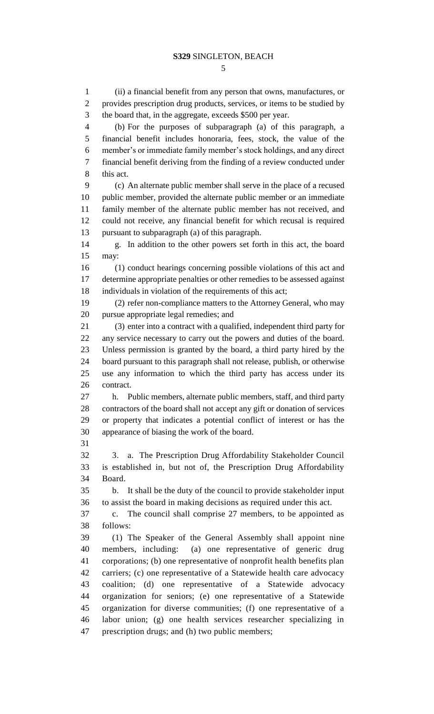(ii) a financial benefit from any person that owns, manufactures, or provides prescription drug products, services, or items to be studied by the board that, in the aggregate, exceeds \$500 per year. (b) For the purposes of subparagraph (a) of this paragraph, a financial benefit includes honoraria, fees, stock, the value of the member's or immediate family member's stock holdings, and any direct financial benefit deriving from the finding of a review conducted under this act. (c) An alternate public member shall serve in the place of a recused public member, provided the alternate public member or an immediate family member of the alternate public member has not received, and could not receive, any financial benefit for which recusal is required pursuant to subparagraph (a) of this paragraph. g. In addition to the other powers set forth in this act, the board may: (1) conduct hearings concerning possible violations of this act and determine appropriate penalties or other remedies to be assessed against individuals in violation of the requirements of this act; (2) refer non-compliance matters to the Attorney General, who may pursue appropriate legal remedies; and (3) enter into a contract with a qualified, independent third party for any service necessary to carry out the powers and duties of the board. Unless permission is granted by the board, a third party hired by the board pursuant to this paragraph shall not release, publish, or otherwise use any information to which the third party has access under its contract. h. Public members, alternate public members, staff, and third party contractors of the board shall not accept any gift or donation of services or property that indicates a potential conflict of interest or has the appearance of biasing the work of the board. 3. a. The Prescription Drug Affordability Stakeholder Council is established in, but not of, the Prescription Drug Affordability Board. b. It shall be the duty of the council to provide stakeholder input to assist the board in making decisions as required under this act. c. The council shall comprise 27 members, to be appointed as follows: (1) The Speaker of the General Assembly shall appoint nine members, including: (a) one representative of generic drug corporations; (b) one representative of nonprofit health benefits plan carriers; (c) one representative of a Statewide health care advocacy coalition; (d) one representative of a Statewide advocacy organization for seniors; (e) one representative of a Statewide organization for diverse communities; (f) one representative of a labor union; (g) one health services researcher specializing in prescription drugs; and (h) two public members;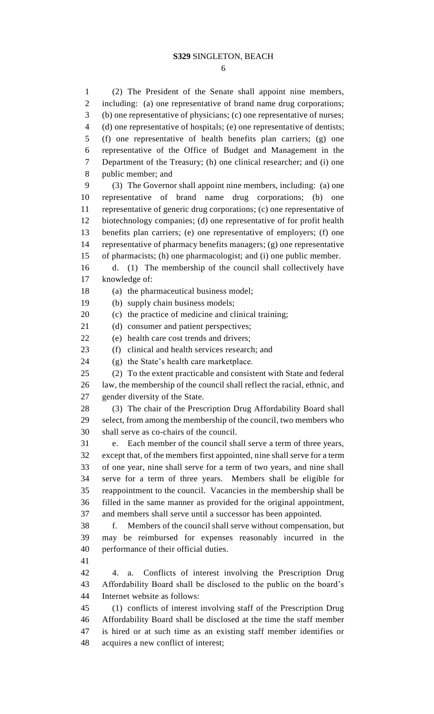(2) The President of the Senate shall appoint nine members, including: (a) one representative of brand name drug corporations; (b) one representative of physicians; (c) one representative of nurses; (d) one representative of hospitals; (e) one representative of dentists; (f) one representative of health benefits plan carriers; (g) one representative of the Office of Budget and Management in the Department of the Treasury; (h) one clinical researcher; and (i) one public member; and (3) The Governor shall appoint nine members, including: (a) one representative of brand name drug corporations; (b) one representative of generic drug corporations; (c) one representative of biotechnology companies; (d) one representative of for profit health benefits plan carriers; (e) one representative of employers; (f) one representative of pharmacy benefits managers; (g) one representative of pharmacists; (h) one pharmacologist; and (i) one public member. d. (1) The membership of the council shall collectively have knowledge of: (a) the pharmaceutical business model; (b) supply chain business models; (c) the practice of medicine and clinical training; (d) consumer and patient perspectives; (e) health care cost trends and drivers; (f) clinical and health services research; and (g) the State's health care marketplace. (2) To the extent practicable and consistent with State and federal law, the membership of the council shall reflect the racial, ethnic, and gender diversity of the State. (3) The chair of the Prescription Drug Affordability Board shall select, from among the membership of the council, two members who shall serve as co-chairs of the council. e. Each member of the council shall serve a term of three years, except that, of the members first appointed, nine shall serve for a term of one year, nine shall serve for a term of two years, and nine shall serve for a term of three years. Members shall be eligible for reappointment to the council. Vacancies in the membership shall be filled in the same manner as provided for the original appointment, and members shall serve until a successor has been appointed. f. Members of the council shall serve without compensation, but may be reimbursed for expenses reasonably incurred in the performance of their official duties. 4. a. Conflicts of interest involving the Prescription Drug Affordability Board shall be disclosed to the public on the board's Internet website as follows: (1) conflicts of interest involving staff of the Prescription Drug Affordability Board shall be disclosed at the time the staff member is hired or at such time as an existing staff member identifies or

acquires a new conflict of interest;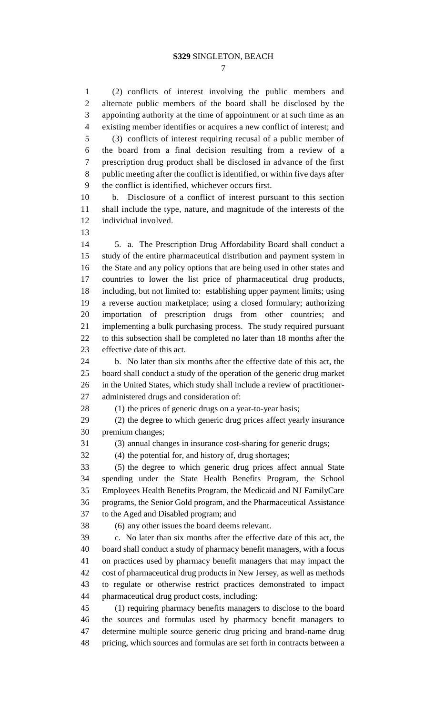(2) conflicts of interest involving the public members and alternate public members of the board shall be disclosed by the appointing authority at the time of appointment or at such time as an existing member identifies or acquires a new conflict of interest; and (3) conflicts of interest requiring recusal of a public member of the board from a final decision resulting from a review of a prescription drug product shall be disclosed in advance of the first public meeting after the conflict is identified, or within five days after the conflict is identified, whichever occurs first. b. Disclosure of a conflict of interest pursuant to this section shall include the type, nature, and magnitude of the interests of the individual involved. 5. a. The Prescription Drug Affordability Board shall conduct a study of the entire pharmaceutical distribution and payment system in the State and any policy options that are being used in other states and countries to lower the list price of pharmaceutical drug products, including, but not limited to: establishing upper payment limits; using a reverse auction marketplace; using a closed formulary; authorizing importation of prescription drugs from other countries; and implementing a bulk purchasing process. The study required pursuant to this subsection shall be completed no later than 18 months after the effective date of this act. b. No later than six months after the effective date of this act, the board shall conduct a study of the operation of the generic drug market in the United States, which study shall include a review of practitioner- administered drugs and consideration of: 28 (1) the prices of generic drugs on a year-to-year basis; (2) the degree to which generic drug prices affect yearly insurance premium changes; (3) annual changes in insurance cost-sharing for generic drugs; (4) the potential for, and history of, drug shortages; (5) the degree to which generic drug prices affect annual State spending under the State Health Benefits Program, the School Employees Health Benefits Program, the Medicaid and NJ FamilyCare

 programs, the Senior Gold program, and the Pharmaceutical Assistance to the Aged and Disabled program; and

(6) any other issues the board deems relevant.

 c. No later than six months after the effective date of this act, the board shall conduct a study of pharmacy benefit managers, with a focus on practices used by pharmacy benefit managers that may impact the cost of pharmaceutical drug products in New Jersey, as well as methods to regulate or otherwise restrict practices demonstrated to impact pharmaceutical drug product costs, including:

 (1) requiring pharmacy benefits managers to disclose to the board the sources and formulas used by pharmacy benefit managers to determine multiple source generic drug pricing and brand-name drug pricing, which sources and formulas are set forth in contracts between a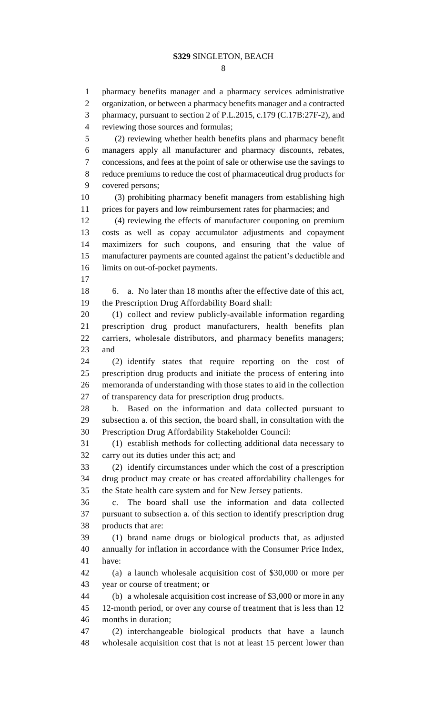pharmacy benefits manager and a pharmacy services administrative organization, or between a pharmacy benefits manager and a contracted pharmacy, pursuant to section 2 of P.L.2015, c.179 (C.17B:27F-2), and reviewing those sources and formulas; (2) reviewing whether health benefits plans and pharmacy benefit managers apply all manufacturer and pharmacy discounts, rebates, concessions, and fees at the point of sale or otherwise use the savings to reduce premiums to reduce the cost of pharmaceutical drug products for covered persons; (3) prohibiting pharmacy benefit managers from establishing high prices for payers and low reimbursement rates for pharmacies; and (4) reviewing the effects of manufacturer couponing on premium costs as well as copay accumulator adjustments and copayment maximizers for such coupons, and ensuring that the value of manufacturer payments are counted against the patient's deductible and 16 limits on out-of-pocket payments. 6. a. No later than 18 months after the effective date of this act, the Prescription Drug Affordability Board shall: (1) collect and review publicly-available information regarding prescription drug product manufacturers, health benefits plan carriers, wholesale distributors, and pharmacy benefits managers; and (2) identify states that require reporting on the cost of prescription drug products and initiate the process of entering into memoranda of understanding with those states to aid in the collection of transparency data for prescription drug products. b. Based on the information and data collected pursuant to subsection a. of this section, the board shall, in consultation with the Prescription Drug Affordability Stakeholder Council: (1) establish methods for collecting additional data necessary to carry out its duties under this act; and (2) identify circumstances under which the cost of a prescription drug product may create or has created affordability challenges for the State health care system and for New Jersey patients. c. The board shall use the information and data collected pursuant to subsection a. of this section to identify prescription drug products that are: (1) brand name drugs or biological products that, as adjusted annually for inflation in accordance with the Consumer Price Index, have: (a) a launch wholesale acquisition cost of \$30,000 or more per year or course of treatment; or (b) a wholesale acquisition cost increase of \$3,000 or more in any 12-month period, or over any course of treatment that is less than 12 months in duration; (2) interchangeable biological products that have a launch wholesale acquisition cost that is not at least 15 percent lower than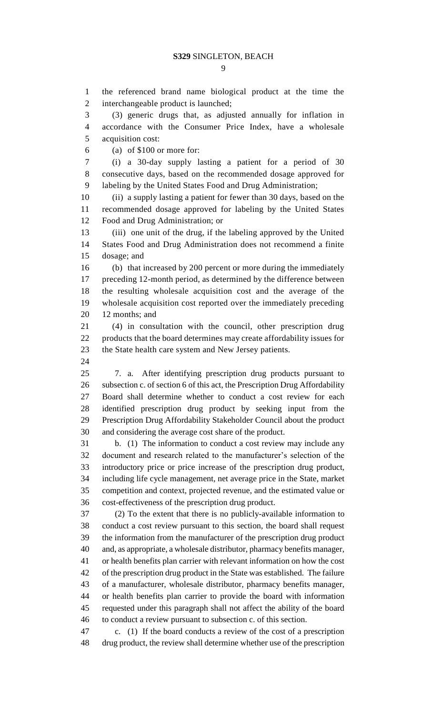the referenced brand name biological product at the time the interchangeable product is launched;

 (3) generic drugs that, as adjusted annually for inflation in accordance with the Consumer Price Index, have a wholesale acquisition cost:

(a) of \$100 or more for:

 (i) a 30-day supply lasting a patient for a period of 30 consecutive days, based on the recommended dosage approved for labeling by the United States Food and Drug Administration;

 (ii) a supply lasting a patient for fewer than 30 days, based on the recommended dosage approved for labeling by the United States Food and Drug Administration; or

 (iii) one unit of the drug, if the labeling approved by the United States Food and Drug Administration does not recommend a finite dosage; and

 (b) that increased by 200 percent or more during the immediately preceding 12-month period, as determined by the difference between the resulting wholesale acquisition cost and the average of the wholesale acquisition cost reported over the immediately preceding 12 months; and

 (4) in consultation with the council, other prescription drug products that the board determines may create affordability issues for the State health care system and New Jersey patients.

 7. a. After identifying prescription drug products pursuant to subsection c. of section 6 of this act, the Prescription Drug Affordability Board shall determine whether to conduct a cost review for each identified prescription drug product by seeking input from the Prescription Drug Affordability Stakeholder Council about the product and considering the average cost share of the product.

 b. (1) The information to conduct a cost review may include any document and research related to the manufacturer's selection of the introductory price or price increase of the prescription drug product, including life cycle management, net average price in the State, market competition and context, projected revenue, and the estimated value or cost-effectiveness of the prescription drug product.

 (2) To the extent that there is no publicly-available information to conduct a cost review pursuant to this section, the board shall request the information from the manufacturer of the prescription drug product and, as appropriate, a wholesale distributor, pharmacy benefits manager, or health benefits plan carrier with relevant information on how the cost of the prescription drug product in the State was established. The failure of a manufacturer, wholesale distributor, pharmacy benefits manager, or health benefits plan carrier to provide the board with information requested under this paragraph shall not affect the ability of the board to conduct a review pursuant to subsection c. of this section.

 c. (1) If the board conducts a review of the cost of a prescription drug product, the review shall determine whether use of the prescription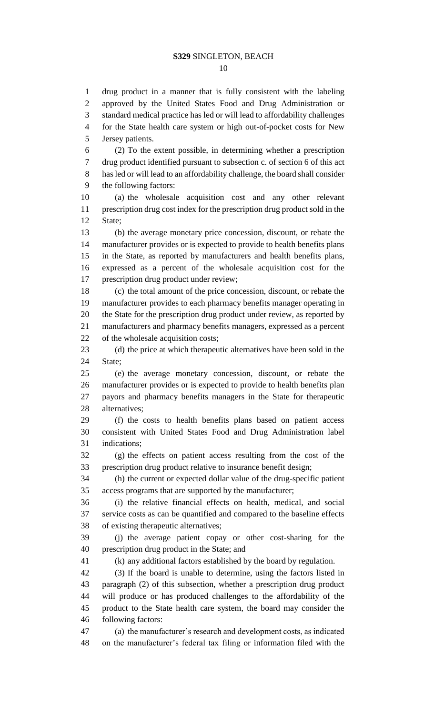drug product in a manner that is fully consistent with the labeling approved by the United States Food and Drug Administration or

 standard medical practice has led or will lead to affordability challenges for the State health care system or high out-of-pocket costs for New Jersey patients. (2) To the extent possible, in determining whether a prescription drug product identified pursuant to subsection c. of section 6 of this act has led or will lead to an affordability challenge, the board shall consider the following factors: (a) the wholesale acquisition cost and any other relevant prescription drug cost index for the prescription drug product sold in the State; (b) the average monetary price concession, discount, or rebate the manufacturer provides or is expected to provide to health benefits plans in the State, as reported by manufacturers and health benefits plans, expressed as a percent of the wholesale acquisition cost for the prescription drug product under review; (c) the total amount of the price concession, discount, or rebate the manufacturer provides to each pharmacy benefits manager operating in the State for the prescription drug product under review, as reported by manufacturers and pharmacy benefits managers, expressed as a percent of the wholesale acquisition costs; (d) the price at which therapeutic alternatives have been sold in the State; (e) the average monetary concession, discount, or rebate the manufacturer provides or is expected to provide to health benefits plan payors and pharmacy benefits managers in the State for therapeutic alternatives; (f) the costs to health benefits plans based on patient access consistent with United States Food and Drug Administration label indications; (g) the effects on patient access resulting from the cost of the prescription drug product relative to insurance benefit design; (h) the current or expected dollar value of the drug-specific patient access programs that are supported by the manufacturer; (i) the relative financial effects on health, medical, and social service costs as can be quantified and compared to the baseline effects of existing therapeutic alternatives; (j) the average patient copay or other cost-sharing for the prescription drug product in the State; and (k) any additional factors established by the board by regulation.

 (3) If the board is unable to determine, using the factors listed in paragraph (2) of this subsection, whether a prescription drug product will produce or has produced challenges to the affordability of the product to the State health care system, the board may consider the following factors:

 (a) the manufacturer's research and development costs, as indicated on the manufacturer's federal tax filing or information filed with the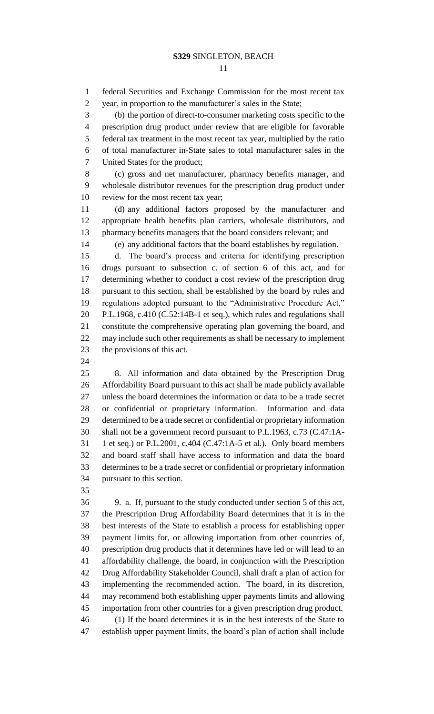federal Securities and Exchange Commission for the most recent tax year, in proportion to the manufacturer's sales in the State;

 (b) the portion of direct-to-consumer marketing costs specific to the prescription drug product under review that are eligible for favorable federal tax treatment in the most recent tax year, multiplied by the ratio of total manufacturer in-State sales to total manufacturer sales in the United States for the product;

 (c) gross and net manufacturer, pharmacy benefits manager, and wholesale distributor revenues for the prescription drug product under review for the most recent tax year;

 (d) any additional factors proposed by the manufacturer and appropriate health benefits plan carriers, wholesale distributors, and pharmacy benefits managers that the board considers relevant; and

(e) any additional factors that the board establishes by regulation.

 d. The board's process and criteria for identifying prescription drugs pursuant to subsection c. of section 6 of this act, and for determining whether to conduct a cost review of the prescription drug pursuant to this section, shall be established by the board by rules and regulations adopted pursuant to the "Administrative Procedure Act," P.L.1968, c.410 (C.52:14B-1 et seq.), which rules and regulations shall constitute the comprehensive operating plan governing the board, and may include such other requirements as shall be necessary to implement the provisions of this act.

 8. All information and data obtained by the Prescription Drug Affordability Board pursuant to this act shall be made publicly available unless the board determines the information or data to be a trade secret or confidential or proprietary information. Information and data determined to be a trade secret or confidential or proprietary information shall not be a government record pursuant to P.L.1963, c.73 (C.47:1A- 1 et seq.) or P.L.2001, c.404 (C.47:1A-5 et al.). Only board members and board staff shall have access to information and data the board determines to be a trade secret or confidential or proprietary information pursuant to this section.

 9. a. If, pursuant to the study conducted under section 5 of this act, the Prescription Drug Affordability Board determines that it is in the best interests of the State to establish a process for establishing upper payment limits for, or allowing importation from other countries of, prescription drug products that it determines have led or will lead to an affordability challenge, the board, in conjunction with the Prescription Drug Affordability Stakeholder Council, shall draft a plan of action for implementing the recommended action. The board, in its discretion, may recommend both establishing upper payments limits and allowing importation from other countries for a given prescription drug product. (1) If the board determines it is in the best interests of the State to establish upper payment limits, the board's plan of action shall include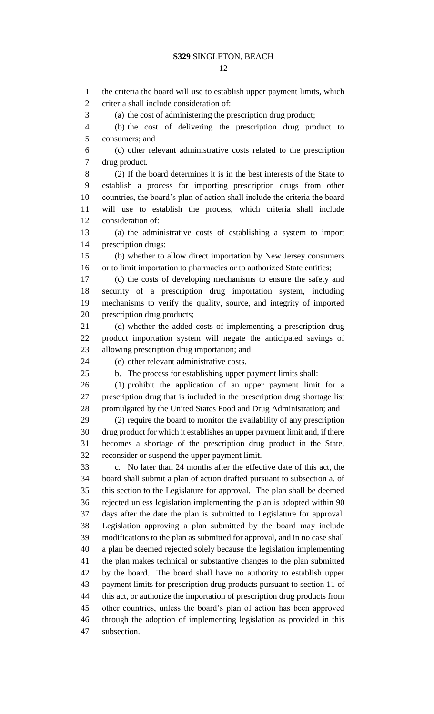the criteria the board will use to establish upper payment limits, which criteria shall include consideration of: (a) the cost of administering the prescription drug product; (b) the cost of delivering the prescription drug product to consumers; and (c) other relevant administrative costs related to the prescription drug product. (2) If the board determines it is in the best interests of the State to establish a process for importing prescription drugs from other countries, the board's plan of action shall include the criteria the board will use to establish the process, which criteria shall include consideration of: (a) the administrative costs of establishing a system to import prescription drugs; (b) whether to allow direct importation by New Jersey consumers 16 or to limit importation to pharmacies or to authorized State entities; (c) the costs of developing mechanisms to ensure the safety and security of a prescription drug importation system, including mechanisms to verify the quality, source, and integrity of imported prescription drug products; (d) whether the added costs of implementing a prescription drug product importation system will negate the anticipated savings of allowing prescription drug importation; and (e) other relevant administrative costs. b. The process for establishing upper payment limits shall: (1) prohibit the application of an upper payment limit for a prescription drug that is included in the prescription drug shortage list promulgated by the United States Food and Drug Administration; and (2) require the board to monitor the availability of any prescription drug product for which it establishes an upper payment limit and, if there becomes a shortage of the prescription drug product in the State, reconsider or suspend the upper payment limit. c. No later than 24 months after the effective date of this act, the board shall submit a plan of action drafted pursuant to subsection a. of this section to the Legislature for approval. The plan shall be deemed rejected unless legislation implementing the plan is adopted within 90 days after the date the plan is submitted to Legislature for approval. Legislation approving a plan submitted by the board may include modifications to the plan as submitted for approval, and in no case shall a plan be deemed rejected solely because the legislation implementing the plan makes technical or substantive changes to the plan submitted by the board. The board shall have no authority to establish upper payment limits for prescription drug products pursuant to section 11 of this act, or authorize the importation of prescription drug products from other countries, unless the board's plan of action has been approved through the adoption of implementing legislation as provided in this subsection.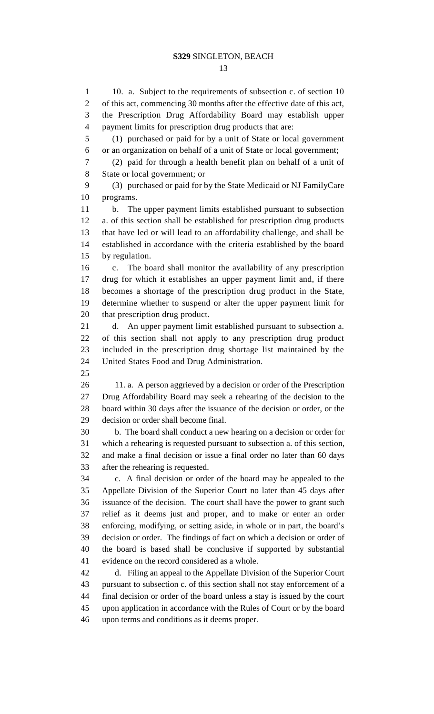1 10. a. Subject to the requirements of subsection c. of section 10 of this act, commencing 30 months after the effective date of this act, the Prescription Drug Affordability Board may establish upper payment limits for prescription drug products that are: (1) purchased or paid for by a unit of State or local government or an organization on behalf of a unit of State or local government; (2) paid for through a health benefit plan on behalf of a unit of State or local government; or (3) purchased or paid for by the State Medicaid or NJ FamilyCare programs. b. The upper payment limits established pursuant to subsection a. of this section shall be established for prescription drug products that have led or will lead to an affordability challenge, and shall be established in accordance with the criteria established by the board by regulation. c. The board shall monitor the availability of any prescription drug for which it establishes an upper payment limit and, if there becomes a shortage of the prescription drug product in the State, determine whether to suspend or alter the upper payment limit for that prescription drug product. d. An upper payment limit established pursuant to subsection a. of this section shall not apply to any prescription drug product included in the prescription drug shortage list maintained by the United States Food and Drug Administration. 11. a. A person aggrieved by a decision or order of the Prescription Drug Affordability Board may seek a rehearing of the decision to the board within 30 days after the issuance of the decision or order, or the decision or order shall become final. b. The board shall conduct a new hearing on a decision or order for which a rehearing is requested pursuant to subsection a. of this section, and make a final decision or issue a final order no later than 60 days after the rehearing is requested. c. A final decision or order of the board may be appealed to the Appellate Division of the Superior Court no later than 45 days after issuance of the decision. The court shall have the power to grant such relief as it deems just and proper, and to make or enter an order enforcing, modifying, or setting aside, in whole or in part, the board's decision or order. The findings of fact on which a decision or order of the board is based shall be conclusive if supported by substantial evidence on the record considered as a whole. d. Filing an appeal to the Appellate Division of the Superior Court pursuant to subsection c. of this section shall not stay enforcement of a final decision or order of the board unless a stay is issued by the court upon application in accordance with the Rules of Court or by the board upon terms and conditions as it deems proper.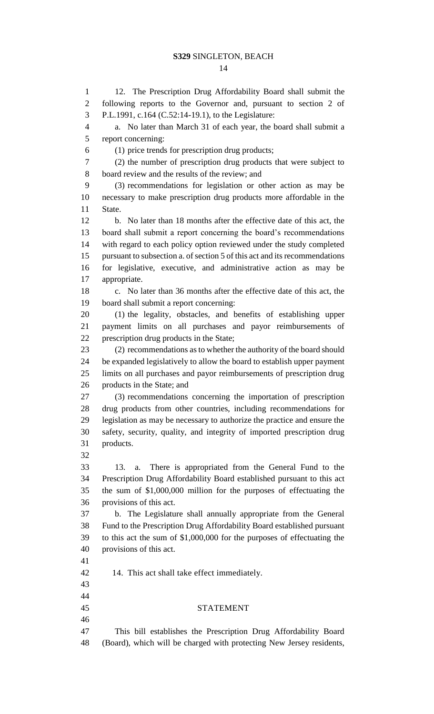#### 

 12. The Prescription Drug Affordability Board shall submit the following reports to the Governor and, pursuant to section 2 of P.L.1991, c.164 (C.52:14-19.1), to the Legislature: a. No later than March 31 of each year, the board shall submit a report concerning: (1) price trends for prescription drug products; (2) the number of prescription drug products that were subject to board review and the results of the review; and (3) recommendations for legislation or other action as may be necessary to make prescription drug products more affordable in the State. b. No later than 18 months after the effective date of this act, the board shall submit a report concerning the board's recommendations with regard to each policy option reviewed under the study completed pursuant to subsection a. of section 5 of this act and its recommendations for legislative, executive, and administrative action as may be appropriate. c. No later than 36 months after the effective date of this act, the board shall submit a report concerning: (1) the legality, obstacles, and benefits of establishing upper payment limits on all purchases and payor reimbursements of prescription drug products in the State; (2) recommendations as to whether the authority of the board should be expanded legislatively to allow the board to establish upper payment limits on all purchases and payor reimbursements of prescription drug products in the State; and (3) recommendations concerning the importation of prescription drug products from other countries, including recommendations for legislation as may be necessary to authorize the practice and ensure the safety, security, quality, and integrity of imported prescription drug products. 13. a. There is appropriated from the General Fund to the Prescription Drug Affordability Board established pursuant to this act the sum of \$1,000,000 million for the purposes of effectuating the provisions of this act. b. The Legislature shall annually appropriate from the General Fund to the Prescription Drug Affordability Board established pursuant to this act the sum of \$1,000,000 for the purposes of effectuating the provisions of this act. 14. This act shall take effect immediately. STATEMENT This bill establishes the Prescription Drug Affordability Board (Board), which will be charged with protecting New Jersey residents,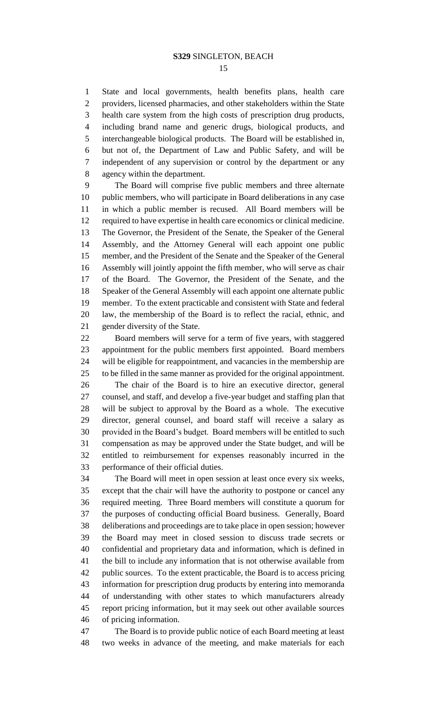State and local governments, health benefits plans, health care providers, licensed pharmacies, and other stakeholders within the State health care system from the high costs of prescription drug products, including brand name and generic drugs, biological products, and interchangeable biological products. The Board will be established in, but not of, the Department of Law and Public Safety, and will be independent of any supervision or control by the department or any agency within the department.

 The Board will comprise five public members and three alternate public members, who will participate in Board deliberations in any case in which a public member is recused. All Board members will be required to have expertise in health care economics or clinical medicine. The Governor, the President of the Senate, the Speaker of the General Assembly, and the Attorney General will each appoint one public member, and the President of the Senate and the Speaker of the General Assembly will jointly appoint the fifth member, who will serve as chair of the Board. The Governor, the President of the Senate, and the Speaker of the General Assembly will each appoint one alternate public member. To the extent practicable and consistent with State and federal law, the membership of the Board is to reflect the racial, ethnic, and gender diversity of the State.

 Board members will serve for a term of five years, with staggered appointment for the public members first appointed. Board members will be eligible for reappointment, and vacancies in the membership are to be filled in the same manner as provided for the original appointment.

 The chair of the Board is to hire an executive director, general counsel, and staff, and develop a five-year budget and staffing plan that will be subject to approval by the Board as a whole. The executive director, general counsel, and board staff will receive a salary as provided in the Board's budget. Board members will be entitled to such compensation as may be approved under the State budget, and will be entitled to reimbursement for expenses reasonably incurred in the performance of their official duties.

 The Board will meet in open session at least once every six weeks, except that the chair will have the authority to postpone or cancel any required meeting. Three Board members will constitute a quorum for the purposes of conducting official Board business. Generally, Board deliberations and proceedings are to take place in open session; however the Board may meet in closed session to discuss trade secrets or confidential and proprietary data and information, which is defined in the bill to include any information that is not otherwise available from public sources. To the extent practicable, the Board is to access pricing information for prescription drug products by entering into memoranda of understanding with other states to which manufacturers already report pricing information, but it may seek out other available sources of pricing information.

 The Board is to provide public notice of each Board meeting at least two weeks in advance of the meeting, and make materials for each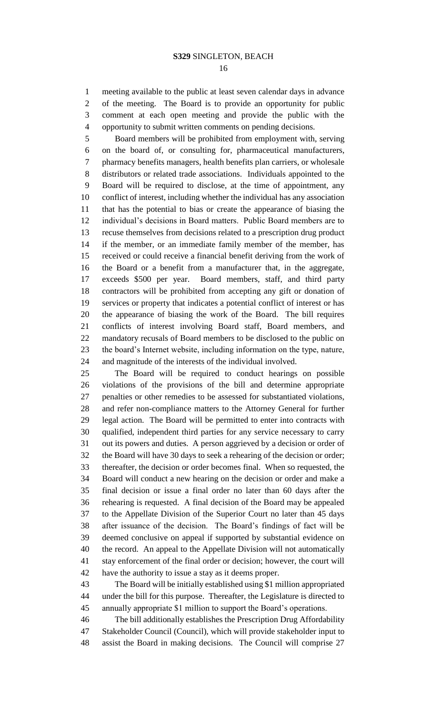meeting available to the public at least seven calendar days in advance of the meeting. The Board is to provide an opportunity for public comment at each open meeting and provide the public with the opportunity to submit written comments on pending decisions.

 Board members will be prohibited from employment with, serving on the board of, or consulting for, pharmaceutical manufacturers, pharmacy benefits managers, health benefits plan carriers, or wholesale distributors or related trade associations. Individuals appointed to the Board will be required to disclose, at the time of appointment, any conflict of interest, including whether the individual has any association that has the potential to bias or create the appearance of biasing the individual's decisions in Board matters. Public Board members are to recuse themselves from decisions related to a prescription drug product if the member, or an immediate family member of the member, has received or could receive a financial benefit deriving from the work of the Board or a benefit from a manufacturer that, in the aggregate, exceeds \$500 per year. Board members, staff, and third party contractors will be prohibited from accepting any gift or donation of services or property that indicates a potential conflict of interest or has the appearance of biasing the work of the Board. The bill requires conflicts of interest involving Board staff, Board members, and mandatory recusals of Board members to be disclosed to the public on the board's Internet website, including information on the type, nature, and magnitude of the interests of the individual involved.

 The Board will be required to conduct hearings on possible violations of the provisions of the bill and determine appropriate penalties or other remedies to be assessed for substantiated violations, and refer non-compliance matters to the Attorney General for further legal action. The Board will be permitted to enter into contracts with qualified, independent third parties for any service necessary to carry out its powers and duties. A person aggrieved by a decision or order of the Board will have 30 days to seek a rehearing of the decision or order; thereafter, the decision or order becomes final. When so requested, the Board will conduct a new hearing on the decision or order and make a final decision or issue a final order no later than 60 days after the rehearing is requested. A final decision of the Board may be appealed to the Appellate Division of the Superior Court no later than 45 days after issuance of the decision. The Board's findings of fact will be deemed conclusive on appeal if supported by substantial evidence on the record. An appeal to the Appellate Division will not automatically stay enforcement of the final order or decision; however, the court will have the authority to issue a stay as it deems proper.

 The Board will be initially established using \$1 million appropriated under the bill for this purpose. Thereafter, the Legislature is directed to annually appropriate \$1 million to support the Board's operations.

 The bill additionally establishes the Prescription Drug Affordability Stakeholder Council (Council), which will provide stakeholder input to assist the Board in making decisions. The Council will comprise 27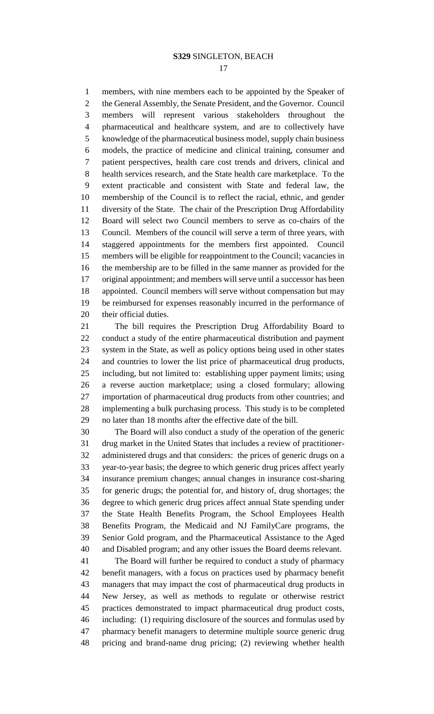members, with nine members each to be appointed by the Speaker of 2 the General Assembly, the Senate President, and the Governor. Council members will represent various stakeholders throughout the pharmaceutical and healthcare system, and are to collectively have knowledge of the pharmaceutical business model, supply chain business models, the practice of medicine and clinical training, consumer and patient perspectives, health care cost trends and drivers, clinical and health services research, and the State health care marketplace. To the extent practicable and consistent with State and federal law, the membership of the Council is to reflect the racial, ethnic, and gender diversity of the State. The chair of the Prescription Drug Affordability Board will select two Council members to serve as co-chairs of the Council. Members of the council will serve a term of three years, with staggered appointments for the members first appointed. Council members will be eligible for reappointment to the Council; vacancies in the membership are to be filled in the same manner as provided for the original appointment; and members will serve until a successor has been appointed. Council members will serve without compensation but may be reimbursed for expenses reasonably incurred in the performance of their official duties.

 The bill requires the Prescription Drug Affordability Board to conduct a study of the entire pharmaceutical distribution and payment system in the State, as well as policy options being used in other states and countries to lower the list price of pharmaceutical drug products, including, but not limited to: establishing upper payment limits; using a reverse auction marketplace; using a closed formulary; allowing importation of pharmaceutical drug products from other countries; and implementing a bulk purchasing process. This study is to be completed no later than 18 months after the effective date of the bill.

 The Board will also conduct a study of the operation of the generic drug market in the United States that includes a review of practitioner- administered drugs and that considers: the prices of generic drugs on a year-to-year basis; the degree to which generic drug prices affect yearly insurance premium changes; annual changes in insurance cost-sharing for generic drugs; the potential for, and history of, drug shortages; the degree to which generic drug prices affect annual State spending under the State Health Benefits Program, the School Employees Health Benefits Program, the Medicaid and NJ FamilyCare programs, the Senior Gold program, and the Pharmaceutical Assistance to the Aged and Disabled program; and any other issues the Board deems relevant.

 The Board will further be required to conduct a study of pharmacy benefit managers, with a focus on practices used by pharmacy benefit managers that may impact the cost of pharmaceutical drug products in New Jersey, as well as methods to regulate or otherwise restrict practices demonstrated to impact pharmaceutical drug product costs, including: (1) requiring disclosure of the sources and formulas used by pharmacy benefit managers to determine multiple source generic drug pricing and brand-name drug pricing; (2) reviewing whether health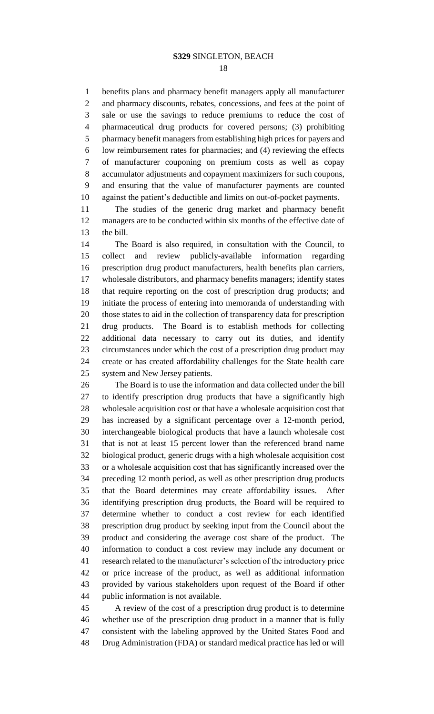benefits plans and pharmacy benefit managers apply all manufacturer and pharmacy discounts, rebates, concessions, and fees at the point of sale or use the savings to reduce premiums to reduce the cost of pharmaceutical drug products for covered persons; (3) prohibiting pharmacy benefit managers from establishing high prices for payers and low reimbursement rates for pharmacies; and (4) reviewing the effects of manufacturer couponing on premium costs as well as copay accumulator adjustments and copayment maximizers for such coupons, and ensuring that the value of manufacturer payments are counted against the patient's deductible and limits on out-of-pocket payments.

 The studies of the generic drug market and pharmacy benefit managers are to be conducted within six months of the effective date of the bill.

 The Board is also required, in consultation with the Council, to collect and review publicly-available information regarding prescription drug product manufacturers, health benefits plan carriers, wholesale distributors, and pharmacy benefits managers; identify states that require reporting on the cost of prescription drug products; and initiate the process of entering into memoranda of understanding with those states to aid in the collection of transparency data for prescription drug products. The Board is to establish methods for collecting additional data necessary to carry out its duties, and identify circumstances under which the cost of a prescription drug product may create or has created affordability challenges for the State health care system and New Jersey patients.

 The Board is to use the information and data collected under the bill to identify prescription drug products that have a significantly high wholesale acquisition cost or that have a wholesale acquisition cost that has increased by a significant percentage over a 12-month period, interchangeable biological products that have a launch wholesale cost that is not at least 15 percent lower than the referenced brand name biological product, generic drugs with a high wholesale acquisition cost or a wholesale acquisition cost that has significantly increased over the preceding 12 month period, as well as other prescription drug products that the Board determines may create affordability issues. After identifying prescription drug products, the Board will be required to determine whether to conduct a cost review for each identified prescription drug product by seeking input from the Council about the product and considering the average cost share of the product. The information to conduct a cost review may include any document or research related to the manufacturer's selection of the introductory price or price increase of the product, as well as additional information provided by various stakeholders upon request of the Board if other public information is not available.

 A review of the cost of a prescription drug product is to determine whether use of the prescription drug product in a manner that is fully consistent with the labeling approved by the United States Food and Drug Administration (FDA) or standard medical practice has led or will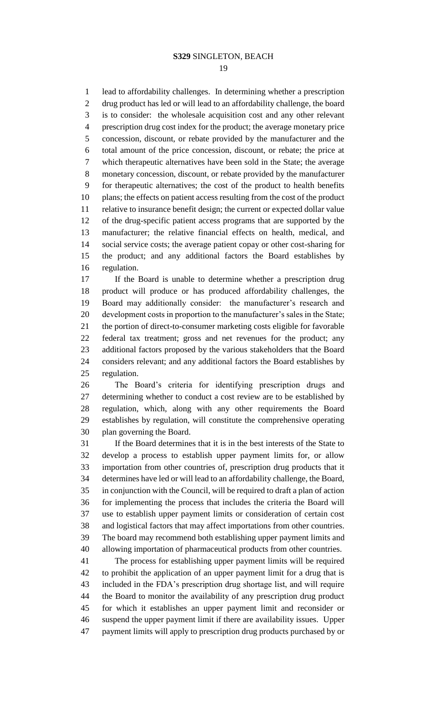lead to affordability challenges. In determining whether a prescription drug product has led or will lead to an affordability challenge, the board is to consider: the wholesale acquisition cost and any other relevant prescription drug cost index for the product; the average monetary price concession, discount, or rebate provided by the manufacturer and the total amount of the price concession, discount, or rebate; the price at which therapeutic alternatives have been sold in the State; the average monetary concession, discount, or rebate provided by the manufacturer for therapeutic alternatives; the cost of the product to health benefits plans; the effects on patient access resulting from the cost of the product relative to insurance benefit design; the current or expected dollar value of the drug-specific patient access programs that are supported by the manufacturer; the relative financial effects on health, medical, and social service costs; the average patient copay or other cost-sharing for the product; and any additional factors the Board establishes by regulation.

 If the Board is unable to determine whether a prescription drug product will produce or has produced affordability challenges, the Board may additionally consider: the manufacturer's research and development costs in proportion to the manufacturer's sales in the State; the portion of direct-to-consumer marketing costs eligible for favorable federal tax treatment; gross and net revenues for the product; any additional factors proposed by the various stakeholders that the Board considers relevant; and any additional factors the Board establishes by regulation.

 The Board's criteria for identifying prescription drugs and determining whether to conduct a cost review are to be established by regulation, which, along with any other requirements the Board establishes by regulation, will constitute the comprehensive operating plan governing the Board.

 If the Board determines that it is in the best interests of the State to develop a process to establish upper payment limits for, or allow importation from other countries of, prescription drug products that it determines have led or will lead to an affordability challenge, the Board, in conjunction with the Council, will be required to draft a plan of action for implementing the process that includes the criteria the Board will use to establish upper payment limits or consideration of certain cost and logistical factors that may affect importations from other countries. The board may recommend both establishing upper payment limits and allowing importation of pharmaceutical products from other countries.

 The process for establishing upper payment limits will be required to prohibit the application of an upper payment limit for a drug that is included in the FDA's prescription drug shortage list, and will require the Board to monitor the availability of any prescription drug product for which it establishes an upper payment limit and reconsider or suspend the upper payment limit if there are availability issues. Upper payment limits will apply to prescription drug products purchased by or